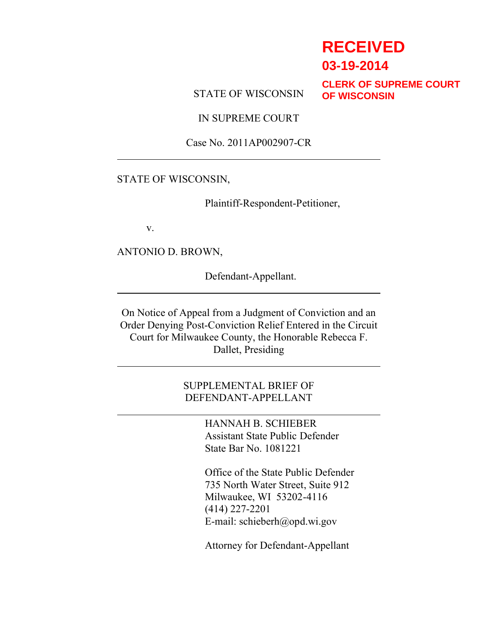# **RECEIVED**

**03-19-2014**

STATE OF WISCONSIN

**CLERK OF SUPREME COURT OF WISCONSIN**

IN SUPREME COURT

Case No. 2011AP002907-CR

#### STATE OF WISCONSIN,

Plaintiff-Respondent-Petitioner,

v.

ANTONIO D. BROWN,

Defendant-Appellant.

On Notice of Appeal from a Judgment of Conviction and an Order Denying Post-Conviction Relief Entered in the Circuit Court for Milwaukee County, the Honorable Rebecca F. Dallet, Presiding

> SUPPLEMENTAL BRIEF OF DEFENDANT-APPELLANT

> > HANNAH B. SCHIEBER Assistant State Public Defender State Bar No. 1081221

Office of the State Public Defender 735 North Water Street, Suite 912 Milwaukee, WI 53202-4116 (414) 227-2201 E-mail: schieberh@opd.wi.gov

Attorney for Defendant-Appellant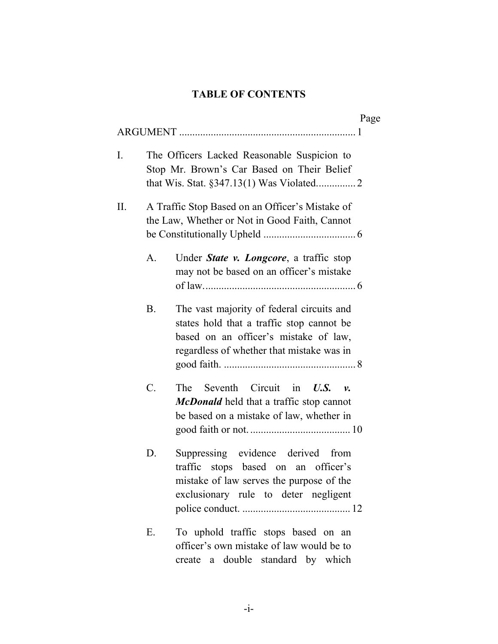# **TABLE OF CONTENTS**

|    |                 |                                                                                                                                                                              | Page |
|----|-----------------|------------------------------------------------------------------------------------------------------------------------------------------------------------------------------|------|
|    |                 |                                                                                                                                                                              |      |
| I. |                 | The Officers Lacked Reasonable Suspicion to<br>Stop Mr. Brown's Car Based on Their Belief                                                                                    |      |
| Π. |                 | A Traffic Stop Based on an Officer's Mistake of<br>the Law, Whether or Not in Good Faith, Cannot                                                                             |      |
|    | A.              | Under State v. Longcore, a traffic stop<br>may not be based on an officer's mistake                                                                                          |      |
|    | <b>B.</b>       | The vast majority of federal circuits and<br>states hold that a traffic stop cannot be<br>based on an officer's mistake of law,<br>regardless of whether that mistake was in |      |
|    | $\mathcal{C}$ . | The<br>Seventh<br>Circuit<br>in<br>U.S.<br><i>v</i> .<br>McDonald held that a traffic stop cannot<br>be based on a mistake of law, whether in                                |      |
|    | D.              | Suppressing evidence derived<br>from<br>stops based on an officer's<br>traffic<br>mistake of law serves the purpose of the<br>exclusionary rule to deter negligent           |      |
|    | Е.              | To uphold traffic stops based on an<br>officer's own mistake of law would be to<br>a double standard by which<br>create                                                      |      |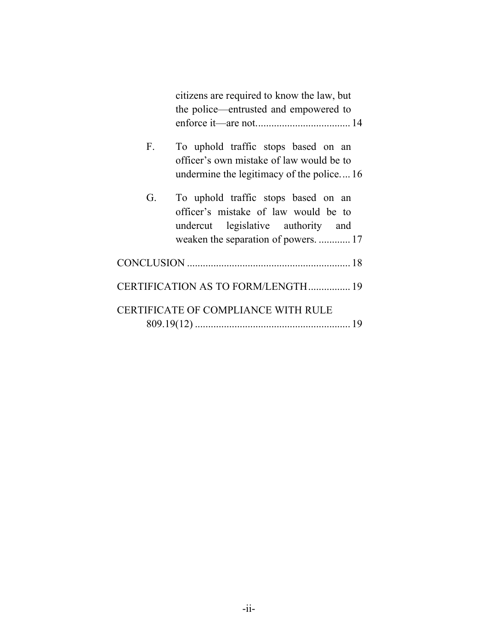|    | citizens are required to know the law, but<br>the police—entrusted and empowered to                                                                       |  |  |
|----|-----------------------------------------------------------------------------------------------------------------------------------------------------------|--|--|
|    |                                                                                                                                                           |  |  |
| F. | To uphold traffic stops based on an<br>officer's own mistake of law would be to<br>undermine the legitimacy of the police16                               |  |  |
| G. | To uphold traffic stops based on an<br>officer's mistake of law would be to<br>undercut legislative authority and<br>weaken the separation of powers.  17 |  |  |
|    |                                                                                                                                                           |  |  |
|    | CERTIFICATION AS TO FORM/LENGTH 19                                                                                                                        |  |  |
|    | <b>CERTIFICATE OF COMPLIANCE WITH RULE</b>                                                                                                                |  |  |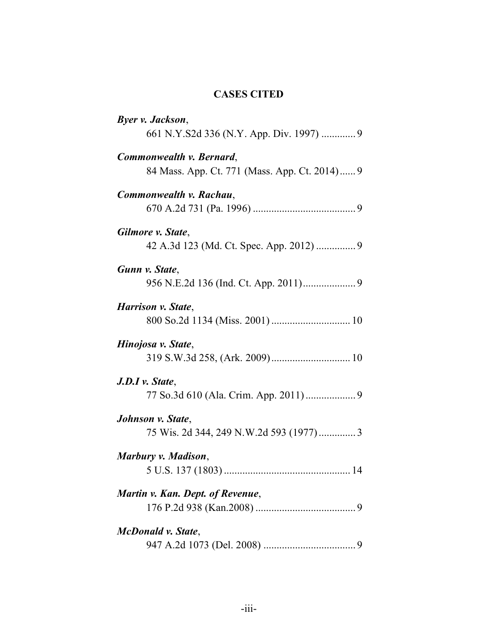## **CASES CITED**

| Byer v. Jackson,                                                          |
|---------------------------------------------------------------------------|
| 661 N.Y.S2d 336 (N.Y. App. Div. 1997)  9                                  |
| Commonwealth v. Bernard,<br>84 Mass. App. Ct. 771 (Mass. App. Ct. 2014) 9 |
| Commonwealth v. Rachau,                                                   |
| Gilmore v. State,                                                         |
| Gunn v. State,                                                            |
| Harrison v. State,                                                        |
| Hinojosa v. State,                                                        |
| $J.D.I$ v. State,                                                         |
| Johnson v. State,<br>75 Wis. 2d 344, 249 N.W.2d 593 (1977)3               |
| Marbury v. Madison,                                                       |
| Martin v. Kan. Dept. of Revenue,                                          |
| McDonald v. State,                                                        |
|                                                                           |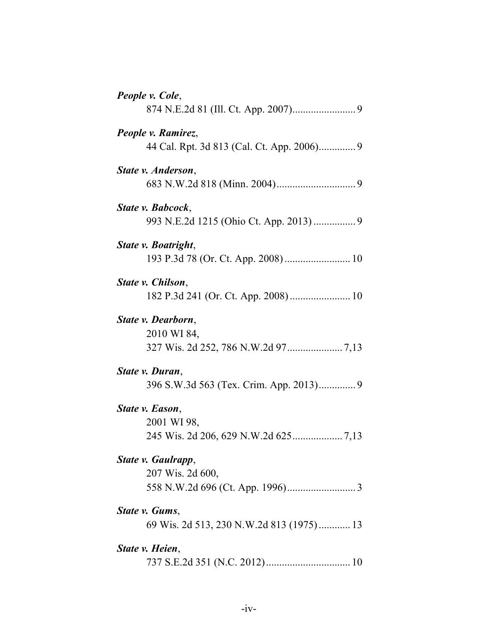| People v. Cole,                                              |
|--------------------------------------------------------------|
| People v. Ramirez,                                           |
| State v. Anderson,                                           |
| State v. Babcock.<br>993 N.E.2d 1215 (Ohio Ct. App. 2013)  9 |
| State v. Boatright,                                          |
| State v. Chilson,                                            |
| State v. Dearborn,<br>2010 WI 84,                            |
| State v. Duran,                                              |
| State v. Eason,<br>2001 WI 98,                               |
| State v. Gaulrapp,<br>207 Wis. 2d 600,                       |
| State v. Gums,<br>69 Wis. 2d 513, 230 N.W.2d 813 (1975) 13   |
| State v. Heien,                                              |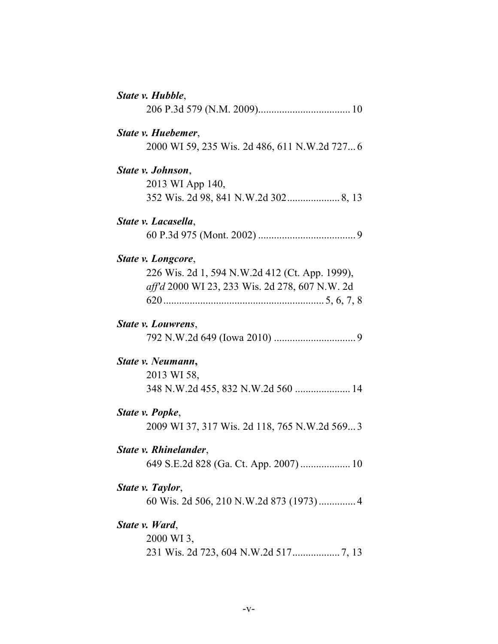| State v. Hubble,                               |
|------------------------------------------------|
|                                                |
| State v. Huebemer,                             |
| 2000 WI 59, 235 Wis. 2d 486, 611 N.W.2d 7276   |
| State v. Johnson,                              |
| 2013 WI App 140,                               |
|                                                |
| State v. Lacasella,                            |
|                                                |
| State v. Longcore,                             |
| 226 Wis. 2d 1, 594 N.W.2d 412 (Ct. App. 1999), |
| aff'd 2000 WI 23, 233 Wis. 2d 278, 607 N.W. 2d |
|                                                |
| State v. Louwrens.                             |
|                                                |
| State v. Neumann,                              |
| 2013 WI 58,                                    |
|                                                |
| State v. Popke,                                |
| 2009 WI 37, 317 Wis. 2d 118, 765 N.W.2d 569 3  |
| State v. Rhinelander,                          |
| 649 S.E.2d 828 (Ga. Ct. App. 2007)  10         |
| State v. Taylor,                               |
| 60 Wis. 2d 506, 210 N.W.2d 873 (1973) 4        |
| State v. Ward,                                 |
| 2000 WI 3.                                     |
|                                                |
|                                                |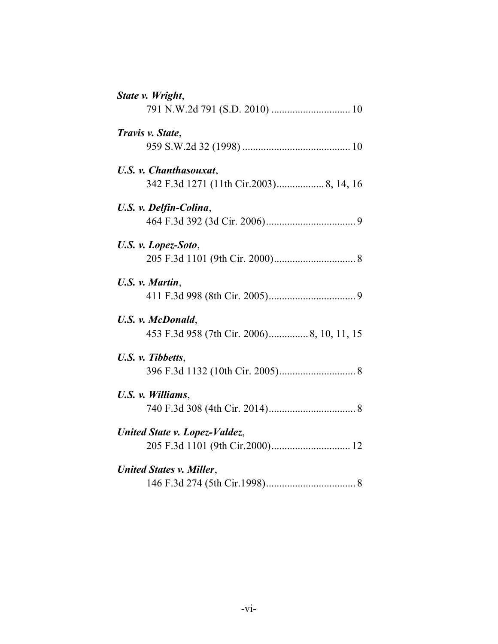| State v. Wright,                |
|---------------------------------|
|                                 |
| Travis v. State,                |
|                                 |
| U.S. v. Chanthasouxat,          |
|                                 |
| U.S. v. Delfin-Colina,          |
|                                 |
| U.S. v. Lopez-Soto,             |
|                                 |
| U.S. v. Martin,                 |
|                                 |
| U.S. v. McDonald,               |
|                                 |
| U.S. v. Tibbetts,               |
|                                 |
| U.S. v. Williams,               |
|                                 |
| United State v. Lopez-Valdez,   |
|                                 |
| <b>United States v. Miller,</b> |
|                                 |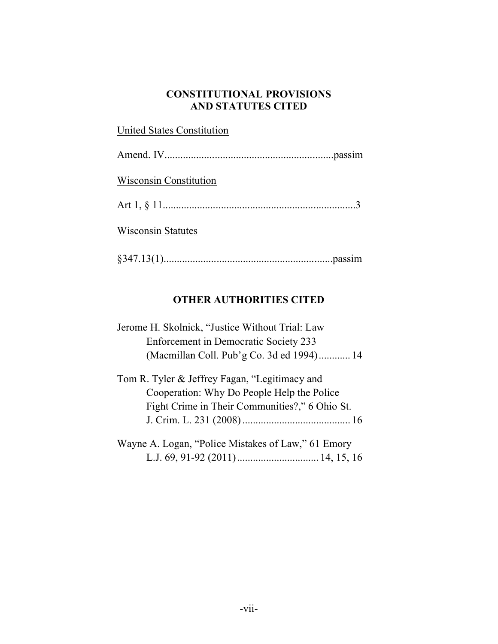### **CONSTITUTIONAL PROVISIONS AND STATUTES CITED**

| <b>United States Constitution</b> |  |
|-----------------------------------|--|
|                                   |  |
| <b>Wisconsin Constitution</b>     |  |
|                                   |  |
| <b>Wisconsin Statutes</b>         |  |
|                                   |  |

# **OTHER AUTHORITIES CITED**

| Jerome H. Skolnick, "Justice Without Trial: Law |  |
|-------------------------------------------------|--|
| Enforcement in Democratic Society 233           |  |
| (Macmillan Coll. Pub'g Co. 3d ed 1994) 14       |  |
| Tom R. Tyler & Jeffrey Fagan, "Legitimacy and   |  |
| Cooperation: Why Do People Help the Police      |  |
| Fight Crime in Their Communities?," 6 Ohio St.  |  |
|                                                 |  |

| Wayne A. Logan, "Police Mistakes of Law," 61 Emory |  |
|----------------------------------------------------|--|
|                                                    |  |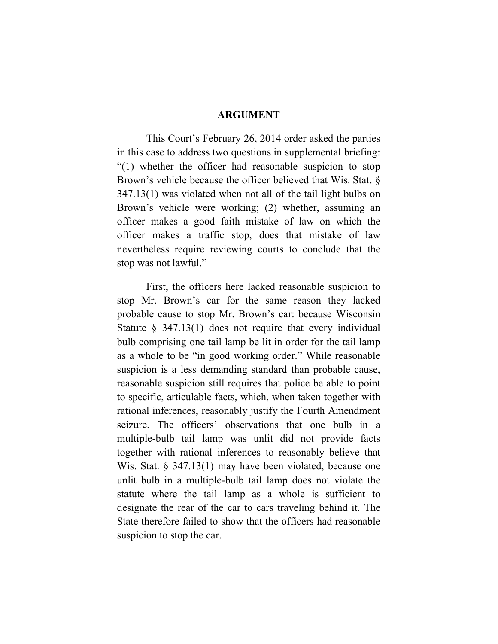#### **ARGUMENT**

This Court's February 26, 2014 order asked the parties in this case to address two questions in supplemental briefing: "(1) whether the officer had reasonable suspicion to stop Brown's vehicle because the officer believed that Wis. Stat. § 347.13(1) was violated when not all of the tail light bulbs on Brown's vehicle were working; (2) whether, assuming an officer makes a good faith mistake of law on which the officer makes a traffic stop, does that mistake of law nevertheless require reviewing courts to conclude that the stop was not lawful."

First, the officers here lacked reasonable suspicion to stop Mr. Brown's car for the same reason they lacked probable cause to stop Mr. Brown's car: because Wisconsin Statute § 347.13(1) does not require that every individual bulb comprising one tail lamp be lit in order for the tail lamp as a whole to be "in good working order." While reasonable suspicion is a less demanding standard than probable cause, reasonable suspicion still requires that police be able to point to specific, articulable facts, which, when taken together with rational inferences, reasonably justify the Fourth Amendment seizure. The officers' observations that one bulb in a multiple-bulb tail lamp was unlit did not provide facts together with rational inferences to reasonably believe that Wis. Stat. § 347.13(1) may have been violated, because one unlit bulb in a multiple-bulb tail lamp does not violate the statute where the tail lamp as a whole is sufficient to designate the rear of the car to cars traveling behind it. The State therefore failed to show that the officers had reasonable suspicion to stop the car.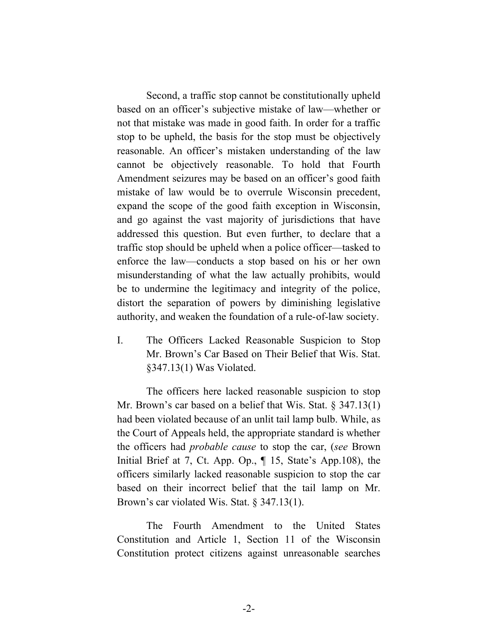Second, a traffic stop cannot be constitutionally upheld based on an officer's subjective mistake of law—whether or not that mistake was made in good faith. In order for a traffic stop to be upheld, the basis for the stop must be objectively reasonable. An officer's mistaken understanding of the law cannot be objectively reasonable. To hold that Fourth Amendment seizures may be based on an officer's good faith mistake of law would be to overrule Wisconsin precedent, expand the scope of the good faith exception in Wisconsin, and go against the vast majority of jurisdictions that have addressed this question. But even further, to declare that a traffic stop should be upheld when a police officer—tasked to enforce the law—conducts a stop based on his or her own misunderstanding of what the law actually prohibits, would be to undermine the legitimacy and integrity of the police, distort the separation of powers by diminishing legislative authority, and weaken the foundation of a rule-of-law society.

I. The Officers Lacked Reasonable Suspicion to Stop Mr. Brown's Car Based on Their Belief that Wis. Stat. §347.13(1) Was Violated.

The officers here lacked reasonable suspicion to stop Mr. Brown's car based on a belief that Wis. Stat. § 347.13(1) had been violated because of an unlit tail lamp bulb. While, as the Court of Appeals held, the appropriate standard is whether the officers had *probable cause* to stop the car, (*see* Brown Initial Brief at 7, Ct. App. Op., ¶ 15, State's App.108), the officers similarly lacked reasonable suspicion to stop the car based on their incorrect belief that the tail lamp on Mr. Brown's car violated Wis. Stat. § 347.13(1).

The Fourth Amendment to the United States Constitution and Article 1, Section 11 of the Wisconsin Constitution protect citizens against unreasonable searches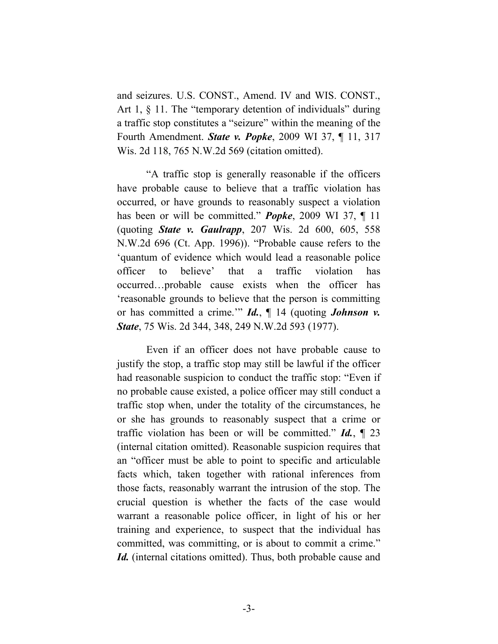and seizures. U.S. CONST., Amend. IV and WIS. CONST., Art 1,  $\S$  11. The "temporary detention of individuals" during a traffic stop constitutes a "seizure" within the meaning of the Fourth Amendment. *State v. Popke*, 2009 WI 37, ¶ 11, 317 Wis. 2d 118, 765 N.W.2d 569 (citation omitted).

"A traffic stop is generally reasonable if the officers have probable cause to believe that a traffic violation has occurred, or have grounds to reasonably suspect a violation has been or will be committed." *Popke*, 2009 WI 37, ¶ 11 (quoting *State v. Gaulrapp*, 207 Wis. 2d 600, 605, 558 N.W.2d 696 (Ct. App. 1996)). "Probable cause refers to the 'quantum of evidence which would lead a reasonable police officer to believe' that a traffic violation has occurred…probable cause exists when the officer has 'reasonable grounds to believe that the person is committing or has committed a crime.'" *Id.*, ¶ 14 (quoting *Johnson v. State*, 75 Wis. 2d 344, 348, 249 N.W.2d 593 (1977).

Even if an officer does not have probable cause to justify the stop, a traffic stop may still be lawful if the officer had reasonable suspicion to conduct the traffic stop: "Even if no probable cause existed, a police officer may still conduct a traffic stop when, under the totality of the circumstances, he or she has grounds to reasonably suspect that a crime or traffic violation has been or will be committed." *Id.*, ¶ 23 (internal citation omitted). Reasonable suspicion requires that an "officer must be able to point to specific and articulable facts which, taken together with rational inferences from those facts, reasonably warrant the intrusion of the stop. The crucial question is whether the facts of the case would warrant a reasonable police officer, in light of his or her training and experience, to suspect that the individual has committed, was committing, or is about to commit a crime." *Id.* (internal citations omitted). Thus, both probable cause and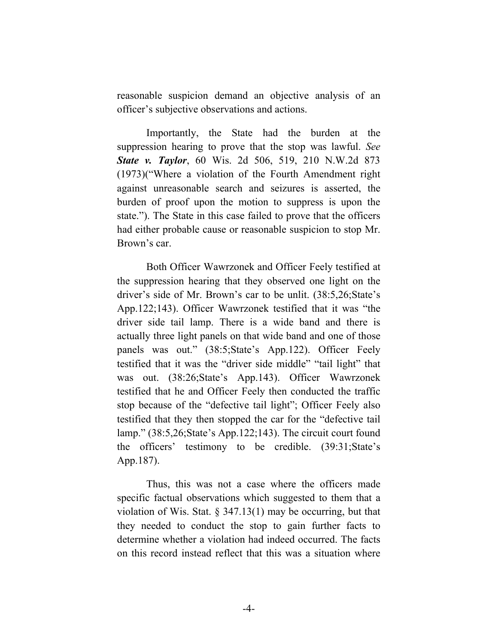reasonable suspicion demand an objective analysis of an officer's subjective observations and actions.

Importantly, the State had the burden at the suppression hearing to prove that the stop was lawful. *See State v. Taylor*, 60 Wis. 2d 506, 519, 210 N.W.2d 873 (1973)("Where a violation of the Fourth Amendment right against unreasonable search and seizures is asserted, the burden of proof upon the motion to suppress is upon the state."). The State in this case failed to prove that the officers had either probable cause or reasonable suspicion to stop Mr. Brown's car.

Both Officer Wawrzonek and Officer Feely testified at the suppression hearing that they observed one light on the driver's side of Mr. Brown's car to be unlit. (38:5,26;State's App.122;143). Officer Wawrzonek testified that it was "the driver side tail lamp. There is a wide band and there is actually three light panels on that wide band and one of those panels was out." (38:5;State's App.122). Officer Feely testified that it was the "driver side middle" "tail light" that was out. (38:26;State's App.143). Officer Wawrzonek testified that he and Officer Feely then conducted the traffic stop because of the "defective tail light"; Officer Feely also testified that they then stopped the car for the "defective tail lamp." (38:5,26;State's App.122;143). The circuit court found the officers' testimony to be credible. (39:31;State's App.187).

Thus, this was not a case where the officers made specific factual observations which suggested to them that a violation of Wis. Stat. § 347.13(1) may be occurring, but that they needed to conduct the stop to gain further facts to determine whether a violation had indeed occurred. The facts on this record instead reflect that this was a situation where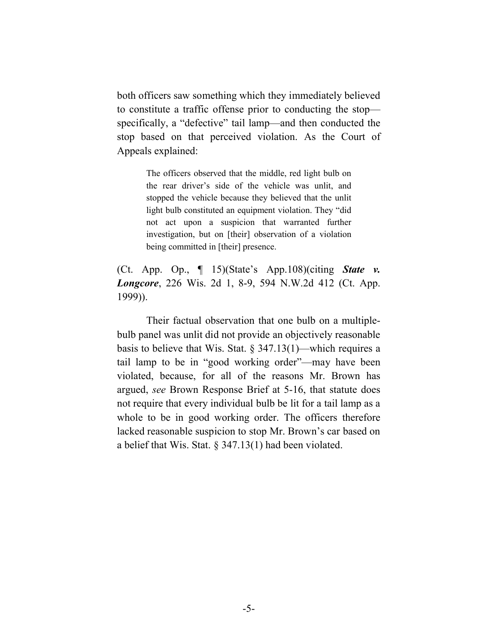both officers saw something which they immediately believed to constitute a traffic offense prior to conducting the stop specifically, a "defective" tail lamp—and then conducted the stop based on that perceived violation. As the Court of Appeals explained:

> The officers observed that the middle, red light bulb on the rear driver's side of the vehicle was unlit, and stopped the vehicle because they believed that the unlit light bulb constituted an equipment violation. They "did not act upon a suspicion that warranted further investigation, but on [their] observation of a violation being committed in [their] presence.

(Ct. App. Op., ¶ 15)(State's App.108)(citing *State v. Longcore*, 226 Wis. 2d 1, 8-9, 594 N.W.2d 412 (Ct. App. 1999)).

Their factual observation that one bulb on a multiplebulb panel was unlit did not provide an objectively reasonable basis to believe that Wis. Stat. § 347.13(1)—which requires a tail lamp to be in "good working order"—may have been violated, because, for all of the reasons Mr. Brown has argued, *see* Brown Response Brief at 5-16, that statute does not require that every individual bulb be lit for a tail lamp as a whole to be in good working order. The officers therefore lacked reasonable suspicion to stop Mr. Brown's car based on a belief that Wis. Stat. § 347.13(1) had been violated.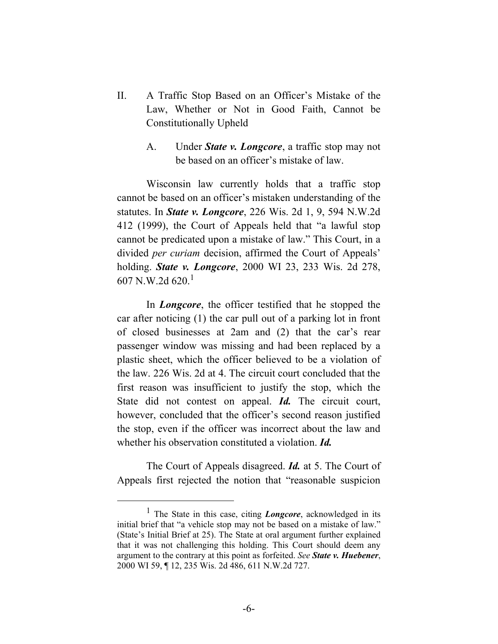- II. A Traffic Stop Based on an Officer's Mistake of the Law, Whether or Not in Good Faith, Cannot be Constitutionally Upheld
	- A. Under *State v. Longcore*, a traffic stop may not be based on an officer's mistake of law.

Wisconsin law currently holds that a traffic stop cannot be based on an officer's mistaken understanding of the statutes. In *State v. Longcore*, 226 Wis. 2d 1, 9, 594 N.W.2d 412 (1999), the Court of Appeals held that "a lawful stop cannot be predicated upon a mistake of law." This Court, in a divided *per curiam* decision, affirmed the Court of Appeals' holding. *State v. Longcore*, 2000 WI 23, 233 Wis. 2d 278, 607 N.W.2d  $620.1$ 

In *Longcore*, the officer testified that he stopped the car after noticing (1) the car pull out of a parking lot in front of closed businesses at 2am and (2) that the car's rear passenger window was missing and had been replaced by a plastic sheet, which the officer believed to be a violation of the law. 226 Wis. 2d at 4. The circuit court concluded that the first reason was insufficient to justify the stop, which the State did not contest on appeal. *Id.* The circuit court, however, concluded that the officer's second reason justified the stop, even if the officer was incorrect about the law and whether his observation constituted a violation. *Id.*

The Court of Appeals disagreed. *Id.* at 5. The Court of Appeals first rejected the notion that "reasonable suspicion

 $\overline{\phantom{a}}$ <sup>1</sup> The State in this case, citing *Longcore*, acknowledged in its initial brief that "a vehicle stop may not be based on a mistake of law." (State's Initial Brief at 25). The State at oral argument further explained that it was not challenging this holding. This Court should deem any argument to the contrary at this point as forfeited. *See State v. Huebener*, 2000 WI 59, ¶ 12, 235 Wis. 2d 486, 611 N.W.2d 727.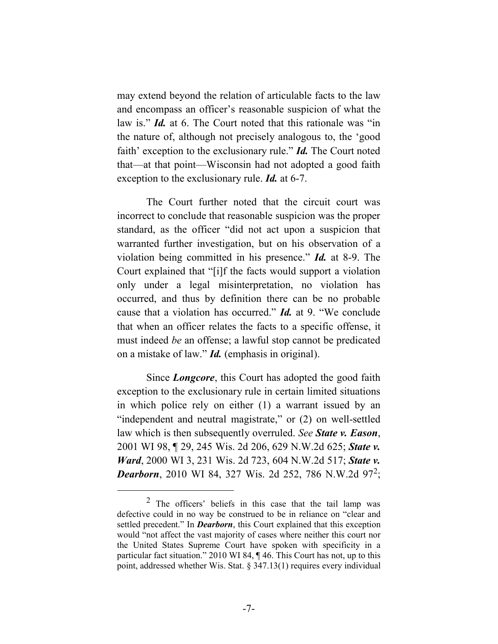may extend beyond the relation of articulable facts to the law and encompass an officer's reasonable suspicion of what the law is." *Id.* at 6. The Court noted that this rationale was "in the nature of, although not precisely analogous to, the 'good faith' exception to the exclusionary rule." *Id.* The Court noted that—at that point—Wisconsin had not adopted a good faith exception to the exclusionary rule. *Id.* at 6-7.

The Court further noted that the circuit court was incorrect to conclude that reasonable suspicion was the proper standard, as the officer "did not act upon a suspicion that warranted further investigation, but on his observation of a violation being committed in his presence." *Id.* at 8-9. The Court explained that "[i]f the facts would support a violation only under a legal misinterpretation, no violation has occurred, and thus by definition there can be no probable cause that a violation has occurred." *Id.* at 9. "We conclude that when an officer relates the facts to a specific offense, it must indeed *be* an offense; a lawful stop cannot be predicated on a mistake of law." *Id.* (emphasis in original).

Since *Longcore*, this Court has adopted the good faith exception to the exclusionary rule in certain limited situations in which police rely on either (1) a warrant issued by an "independent and neutral magistrate," or (2) on well-settled law which is then subsequently overruled. *See State v. Eason*, 2001 WI 98, ¶ 29, 245 Wis. 2d 206, 629 N.W.2d 625; *State v. Ward*, 2000 WI 3, 231 Wis. 2d 723, 604 N.W.2d 517; *State v.*  **Dearborn**, 2010 WI 84, 327 Wis. 2d 252, 786 N.W.2d 97<sup>2</sup>;

 <sup>2</sup>  $2$  The officers' beliefs in this case that the tail lamp was defective could in no way be construed to be in reliance on "clear and settled precedent." In *Dearborn*, this Court explained that this exception would "not affect the vast majority of cases where neither this court nor the United States Supreme Court have spoken with specificity in a particular fact situation." 2010 WI 84, ¶ 46. This Court has not, up to this point, addressed whether Wis. Stat. § 347.13(1) requires every individual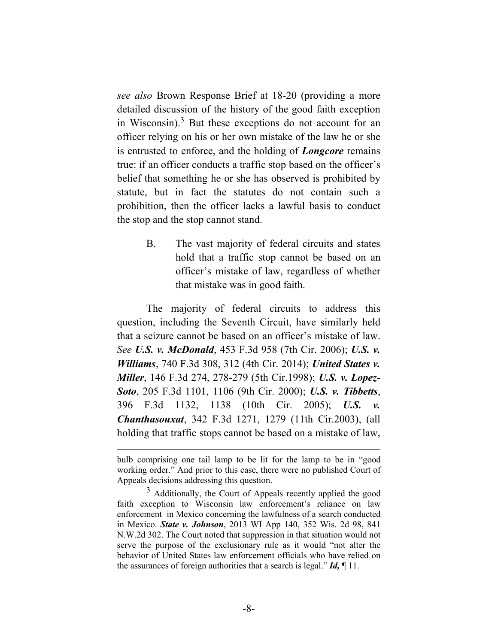*see also* Brown Response Brief at 18-20 (providing a more detailed discussion of the history of the good faith exception in Wisconsin). $3$  But these exceptions do not account for an officer relying on his or her own mistake of the law he or she is entrusted to enforce, and the holding of *Longcore* remains true: if an officer conducts a traffic stop based on the officer's belief that something he or she has observed is prohibited by statute, but in fact the statutes do not contain such a prohibition, then the officer lacks a lawful basis to conduct the stop and the stop cannot stand.

> B. The vast majority of federal circuits and states hold that a traffic stop cannot be based on an officer's mistake of law, regardless of whether that mistake was in good faith.

The majority of federal circuits to address this question, including the Seventh Circuit, have similarly held that a seizure cannot be based on an officer's mistake of law. *See U.S. v. McDonald*, 453 F.3d 958 (7th Cir. 2006); *U.S. v. Williams*, 740 F.3d 308, 312 (4th Cir. 2014); *United States v. Miller*, 146 F.3d 274, 278-279 (5th Cir.1998); *U.S. v. Lopez-Soto*, 205 F.3d 1101, 1106 (9th Cir. 2000); *U.S. v. Tibbetts*, 396 F.3d 1132, 1138 (10th Cir. 2005); *U.S. v. Chanthasouxat*, 342 F.3d 1271, 1279 (11th Cir.2003), (all holding that traffic stops cannot be based on a mistake of law,

bulb comprising one tail lamp to be lit for the lamp to be in "good working order." And prior to this case, there were no published Court of Appeals decisions addressing this question.

 $3$  Additionally, the Court of Appeals recently applied the good faith exception to Wisconsin law enforcement's reliance on law enforcement in Mexico concerning the lawfulness of a search conducted in Mexico. *State v. Johnson*, 2013 WI App 140, 352 Wis. 2d 98, 841 N.W.2d 302. The Court noted that suppression in that situation would not serve the purpose of the exclusionary rule as it would "not alter the behavior of United States law enforcement officials who have relied on the assurances of foreign authorities that a search is legal." *Id,* ¶ 11.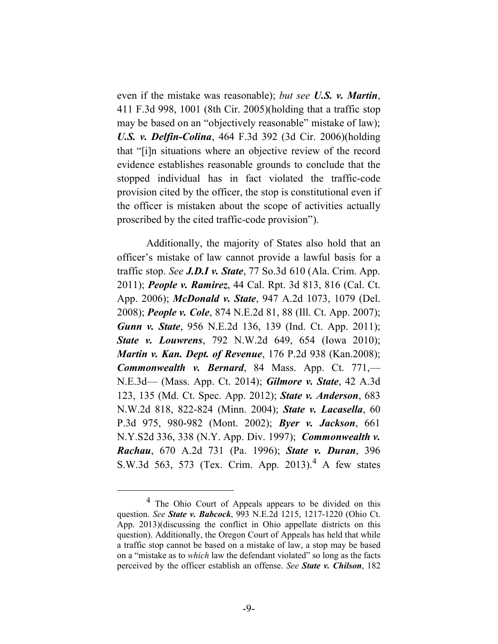even if the mistake was reasonable); *but see U.S. v. Martin*, 411 F.3d 998, 1001 (8th Cir. 2005)(holding that a traffic stop may be based on an "objectively reasonable" mistake of law); *U.S. v. Delfin-Colina*, 464 F.3d 392 (3d Cir. 2006)(holding that "[i]n situations where an objective review of the record evidence establishes reasonable grounds to conclude that the stopped individual has in fact violated the traffic-code provision cited by the officer, the stop is constitutional even if the officer is mistaken about the scope of activities actually proscribed by the cited traffic-code provision").

Additionally, the majority of States also hold that an officer's mistake of law cannot provide a lawful basis for a traffic stop. *See J.D.I v. State*, 77 So.3d 610 (Ala. Crim. App. 2011); *People v. Ramirez*, 44 Cal. Rpt. 3d 813, 816 (Cal. Ct. App. 2006); *McDonald v. State*, 947 A.2d 1073, 1079 (Del. 2008); *People v. Cole*, 874 N.E.2d 81, 88 (Ill. Ct. App. 2007); *Gunn v. State*, 956 N.E.2d 136, 139 (Ind. Ct. App. 2011); *State v. Louwrens*, 792 N.W.2d 649, 654 (Iowa 2010); *Martin v. Kan. Dept. of Revenue*, 176 P.2d 938 (Kan.2008); *Commonwealth v. Bernard*, 84 Mass. App. Ct. 771,— N.E.3d— (Mass. App. Ct. 2014); *Gilmore v. State*, 42 A.3d 123, 135 (Md. Ct. Spec. App. 2012); *State v. Anderson*, 683 N.W.2d 818, 822-824 (Minn. 2004); *State v. Lacasella*, 60 P.3d 975, 980-982 (Mont. 2002); *Byer v. Jackson*, 661 N.Y.S2d 336, 338 (N.Y. App. Div. 1997); *Commonwealth v. Rachau*, 670 A.2d 731 (Pa. 1996); *State v. Duran*, 396 S.W.3d 563, 573 (Tex. Crim. App. 2013).<sup>4</sup> A few states

 $\overline{4}$ <sup>4</sup> The Ohio Court of Appeals appears to be divided on this question. *See State v. Babcock*, 993 N.E.2d 1215, 1217-1220 (Ohio Ct. App. 2013)(discussing the conflict in Ohio appellate districts on this question). Additionally, the Oregon Court of Appeals has held that while a traffic stop cannot be based on a mistake of law, a stop may be based on a "mistake as to *which* law the defendant violated" so long as the facts perceived by the officer establish an offense. *See State v. Chilson*, 182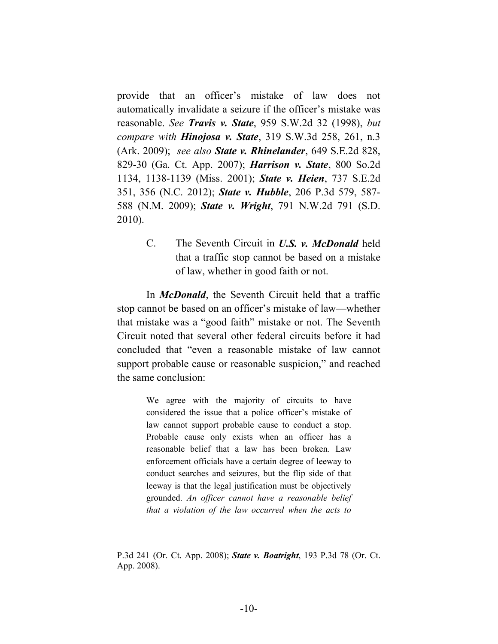provide that an officer's mistake of law does not automatically invalidate a seizure if the officer's mistake was reasonable. *See Travis v. State*, 959 S.W.2d 32 (1998), *but compare with Hinojosa v. State*, 319 S.W.3d 258, 261, n.3 (Ark. 2009); *see also State v. Rhinelander*, 649 S.E.2d 828, 829-30 (Ga. Ct. App. 2007); *Harrison v. State*, 800 So.2d 1134, 1138-1139 (Miss. 2001); *State v. Heien*, 737 S.E.2d 351, 356 (N.C. 2012); *State v. Hubble*, 206 P.3d 579, 587- 588 (N.M. 2009); *State v. Wright*, 791 N.W.2d 791 (S.D. 2010).

> C. The Seventh Circuit in *U.S. v. McDonald* held that a traffic stop cannot be based on a mistake of law, whether in good faith or not.

In *McDonald*, the Seventh Circuit held that a traffic stop cannot be based on an officer's mistake of law—whether that mistake was a "good faith" mistake or not. The Seventh Circuit noted that several other federal circuits before it had concluded that "even a reasonable mistake of law cannot support probable cause or reasonable suspicion," and reached the same conclusion:

> We agree with the majority of circuits to have considered the issue that a police officer's mistake of law cannot support probable cause to conduct a stop. Probable cause only exists when an officer has a reasonable belief that a law has been broken. Law enforcement officials have a certain degree of leeway to conduct searches and seizures, but the flip side of that leeway is that the legal justification must be objectively grounded. *An officer cannot have a reasonable belief that a violation of the law occurred when the acts to*

 $\overline{a}$ 

P.3d 241 (Or. Ct. App. 2008); *State v. Boatright*, 193 P.3d 78 (Or. Ct. App. 2008).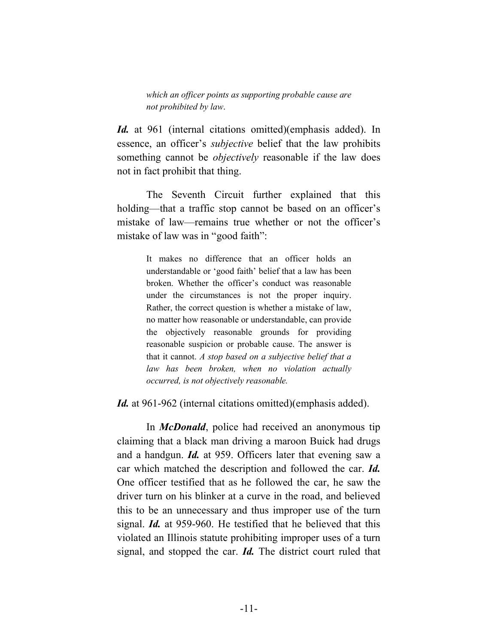*which an officer points as supporting probable cause are not prohibited by law*.

*Id.* at 961 (internal citations omitted)(emphasis added). In essence, an officer's *subjective* belief that the law prohibits something cannot be *objectively* reasonable if the law does not in fact prohibit that thing.

The Seventh Circuit further explained that this holding—that a traffic stop cannot be based on an officer's mistake of law—remains true whether or not the officer's mistake of law was in "good faith":

> It makes no difference that an officer holds an understandable or 'good faith' belief that a law has been broken. Whether the officer's conduct was reasonable under the circumstances is not the proper inquiry. Rather, the correct question is whether a mistake of law, no matter how reasonable or understandable, can provide the objectively reasonable grounds for providing reasonable suspicion or probable cause. The answer is that it cannot. *A stop based on a subjective belief that a law has been broken, when no violation actually occurred, is not objectively reasonable.*

*Id.* at 961-962 (internal citations omitted)(emphasis added).

In *McDonald*, police had received an anonymous tip claiming that a black man driving a maroon Buick had drugs and a handgun. *Id.* at 959. Officers later that evening saw a car which matched the description and followed the car. *Id.* One officer testified that as he followed the car, he saw the driver turn on his blinker at a curve in the road, and believed this to be an unnecessary and thus improper use of the turn signal. *Id.* at 959-960. He testified that he believed that this violated an Illinois statute prohibiting improper uses of a turn signal, and stopped the car. *Id.* The district court ruled that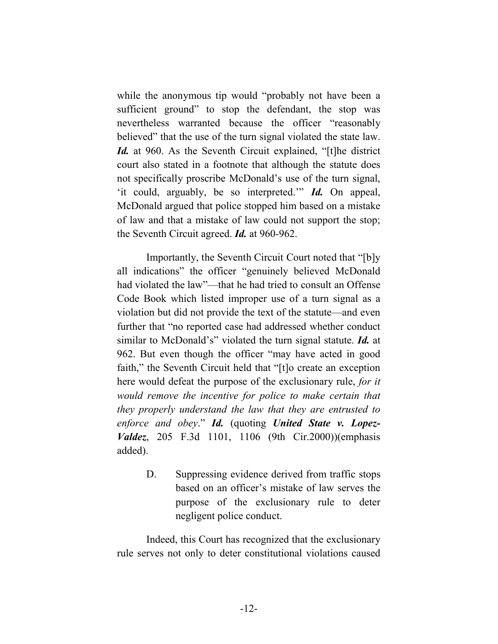while the anonymous tip would "probably not have been a sufficient ground" to stop the defendant, the stop was nevertheless warranted because the officer "reasonably believed" that the use of the turn signal violated the state law. *Id.* at 960. As the Seventh Circuit explained, "[t]he district court also stated in a footnote that although the statute does not specifically proscribe McDonald's use of the turn signal, 'it could, arguably, be so interpreted.'" *Id.* On appeal, McDonald argued that police stopped him based on a mistake of law and that a mistake of law could not support the stop; the Seventh Circuit agreed. *Id.* at 960-962.

Importantly, the Seventh Circuit Court noted that "[b]y all indications" the officer "genuinely believed McDonald had violated the law"—that he had tried to consult an Offense Code Book which listed improper use of a turn signal as a violation but did not provide the text of the statute—and even further that "no reported case had addressed whether conduct similar to McDonald's" violated the turn signal statute. *Id.* at 962. But even though the officer "may have acted in good faith," the Seventh Circuit held that "[t]o create an exception here would defeat the purpose of the exclusionary rule, *for it would remove the incentive for police to make certain that they properly understand the law that they are entrusted to enforce and obey*." *Id.* (quoting *United State v. Lopez-Valdez*, 205 F.3d 1101, 1106 (9th Cir.2000))(emphasis added).

> D. Suppressing evidence derived from traffic stops based on an officer's mistake of law serves the purpose of the exclusionary rule to deter negligent police conduct.

Indeed, this Court has recognized that the exclusionary rule serves not only to deter constitutional violations caused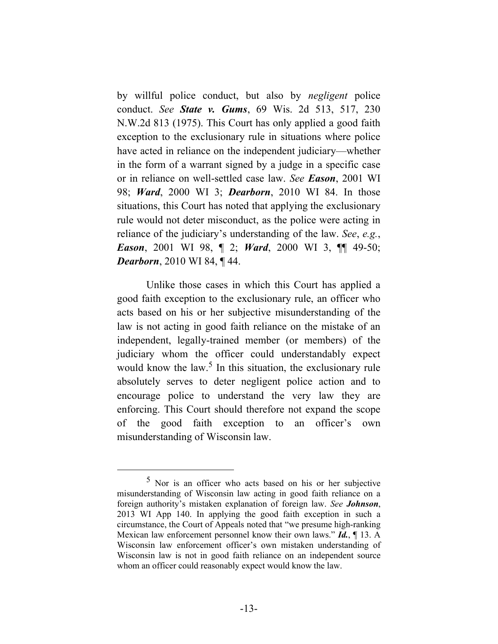by willful police conduct, but also by *negligent* police conduct. *See State v. Gums*, 69 Wis. 2d 513, 517, 230 N.W.2d 813 (1975). This Court has only applied a good faith exception to the exclusionary rule in situations where police have acted in reliance on the independent judiciary—whether in the form of a warrant signed by a judge in a specific case or in reliance on well-settled case law. *See Eason*, 2001 WI 98; *Ward*, 2000 WI 3; *Dearborn*, 2010 WI 84. In those situations, this Court has noted that applying the exclusionary rule would not deter misconduct, as the police were acting in reliance of the judiciary's understanding of the law. *See*, *e.g.*, *Eason*, 2001 WI 98, ¶ 2; *Ward*, 2000 WI 3, ¶¶ 49-50; *Dearborn*, 2010 WI 84, ¶ 44.

Unlike those cases in which this Court has applied a good faith exception to the exclusionary rule, an officer who acts based on his or her subjective misunderstanding of the law is not acting in good faith reliance on the mistake of an independent, legally-trained member (or members) of the judiciary whom the officer could understandably expect would know the law.<sup>5</sup> In this situation, the exclusionary rule absolutely serves to deter negligent police action and to encourage police to understand the very law they are enforcing. This Court should therefore not expand the scope of the good faith exception to an officer's own misunderstanding of Wisconsin law.

 <sup>5</sup> Nor is an officer who acts based on his or her subjective misunderstanding of Wisconsin law acting in good faith reliance on a foreign authority's mistaken explanation of foreign law. *See Johnson*, 2013 WI App 140. In applying the good faith exception in such a circumstance, the Court of Appeals noted that "we presume high-ranking Mexican law enforcement personnel know their own laws." *Id.*, ¶ 13. A Wisconsin law enforcement officer's own mistaken understanding of Wisconsin law is not in good faith reliance on an independent source whom an officer could reasonably expect would know the law.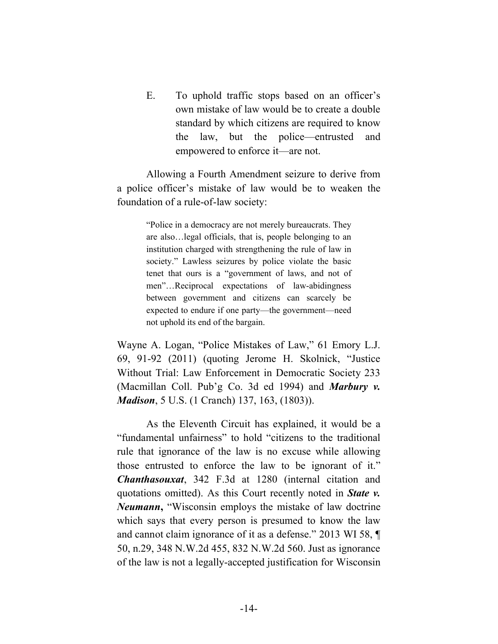E. To uphold traffic stops based on an officer's own mistake of law would be to create a double standard by which citizens are required to know the law, but the police—entrusted and empowered to enforce it—are not.

Allowing a Fourth Amendment seizure to derive from a police officer's mistake of law would be to weaken the foundation of a rule-of-law society:

> "Police in a democracy are not merely bureaucrats. They are also…legal officials, that is, people belonging to an institution charged with strengthening the rule of law in society." Lawless seizures by police violate the basic tenet that ours is a "government of laws, and not of men"…Reciprocal expectations of law-abidingness between government and citizens can scarcely be expected to endure if one party—the government—need not uphold its end of the bargain.

Wayne A. Logan, "Police Mistakes of Law," 61 Emory L.J. 69, 91-92 (2011) (quoting Jerome H. Skolnick, "Justice Without Trial: Law Enforcement in Democratic Society 233 (Macmillan Coll. Pub'g Co. 3d ed 1994) and *Marbury v. Madison*, 5 U.S. (1 Cranch) 137, 163, (1803)).

As the Eleventh Circuit has explained, it would be a "fundamental unfairness" to hold "citizens to the traditional rule that ignorance of the law is no excuse while allowing those entrusted to enforce the law to be ignorant of it." *Chanthasouxat*, 342 F.3d at 1280 (internal citation and quotations omitted). As this Court recently noted in *State v. Neumann***,** "Wisconsin employs the mistake of law doctrine which says that every person is presumed to know the law and cannot claim ignorance of it as a defense." 2013 WI 58, ¶ 50, n.29, 348 N.W.2d 455, 832 N.W.2d 560. Just as ignorance of the law is not a legally-accepted justification for Wisconsin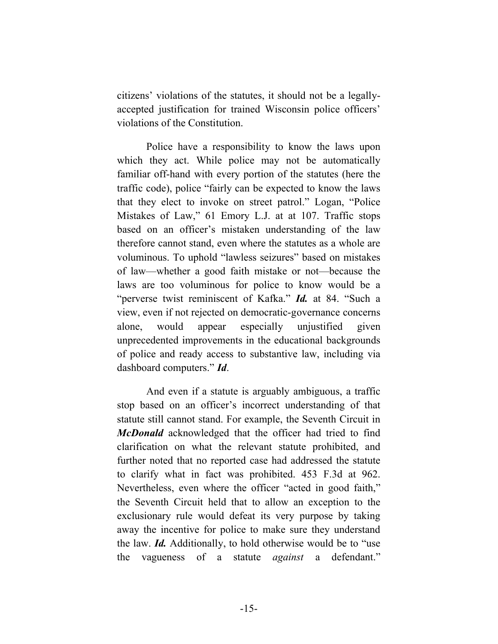citizens' violations of the statutes, it should not be a legallyaccepted justification for trained Wisconsin police officers' violations of the Constitution.

Police have a responsibility to know the laws upon which they act. While police may not be automatically familiar off-hand with every portion of the statutes (here the traffic code), police "fairly can be expected to know the laws that they elect to invoke on street patrol." Logan, "Police Mistakes of Law," 61 Emory L.J. at at 107. Traffic stops based on an officer's mistaken understanding of the law therefore cannot stand, even where the statutes as a whole are voluminous. To uphold "lawless seizures" based on mistakes of law—whether a good faith mistake or not—because the laws are too voluminous for police to know would be a "perverse twist reminiscent of Kafka." *Id.* at 84. "Such a view, even if not rejected on democratic-governance concerns alone, would appear especially unjustified given unprecedented improvements in the educational backgrounds of police and ready access to substantive law, including via dashboard computers." *Id*.

And even if a statute is arguably ambiguous, a traffic stop based on an officer's incorrect understanding of that statute still cannot stand. For example, the Seventh Circuit in *McDonald* acknowledged that the officer had tried to find clarification on what the relevant statute prohibited, and further noted that no reported case had addressed the statute to clarify what in fact was prohibited. 453 F.3d at 962. Nevertheless, even where the officer "acted in good faith," the Seventh Circuit held that to allow an exception to the exclusionary rule would defeat its very purpose by taking away the incentive for police to make sure they understand the law. *Id.* Additionally, to hold otherwise would be to "use the vagueness of a statute *against* a defendant."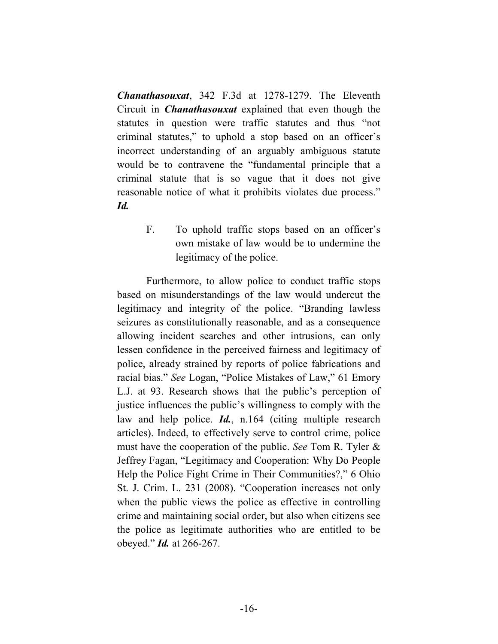*Chanathasouxat*, 342 F.3d at 1278-1279. The Eleventh Circuit in *Chanathasouxat* explained that even though the statutes in question were traffic statutes and thus "not criminal statutes," to uphold a stop based on an officer's incorrect understanding of an arguably ambiguous statute would be to contravene the "fundamental principle that a criminal statute that is so vague that it does not give reasonable notice of what it prohibits violates due process." *Id.*

> F. To uphold traffic stops based on an officer's own mistake of law would be to undermine the legitimacy of the police.

Furthermore, to allow police to conduct traffic stops based on misunderstandings of the law would undercut the legitimacy and integrity of the police. "Branding lawless seizures as constitutionally reasonable, and as a consequence allowing incident searches and other intrusions, can only lessen confidence in the perceived fairness and legitimacy of police, already strained by reports of police fabrications and racial bias." *See* Logan, "Police Mistakes of Law," 61 Emory L.J. at 93. Research shows that the public's perception of justice influences the public's willingness to comply with the law and help police. *Id.*, n.164 (citing multiple research articles). Indeed, to effectively serve to control crime, police must have the cooperation of the public. *See* Tom R. Tyler & Jeffrey Fagan, "Legitimacy and Cooperation: Why Do People Help the Police Fight Crime in Their Communities?," 6 Ohio St. J. Crim. L. 231 (2008). "Cooperation increases not only when the public views the police as effective in controlling crime and maintaining social order, but also when citizens see the police as legitimate authorities who are entitled to be obeyed." *Id.* at 266-267.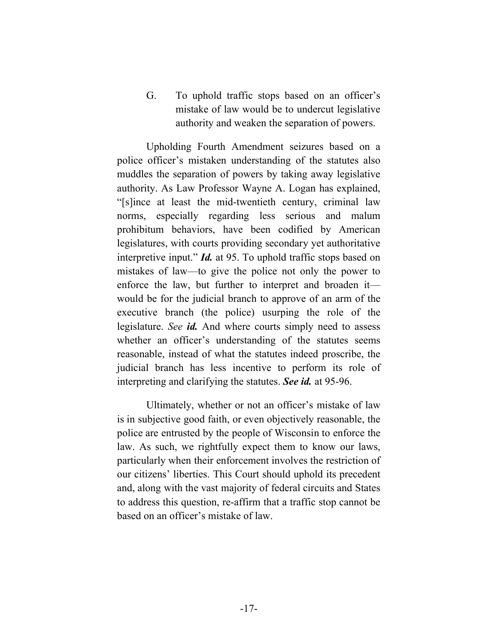G. To uphold traffic stops based on an officer's mistake of law would be to undercut legislative authority and weaken the separation of powers.

Upholding Fourth Amendment seizures based on a police officer's mistaken understanding of the statutes also muddles the separation of powers by taking away legislative authority. As Law Professor Wayne A. Logan has explained, "[s]ince at least the mid-twentieth century, criminal law norms, especially regarding less serious and malum prohibitum behaviors, have been codified by American legislatures, with courts providing secondary yet authoritative interpretive input." *Id.* at 95. To uphold traffic stops based on mistakes of law—to give the police not only the power to enforce the law, but further to interpret and broaden it would be for the judicial branch to approve of an arm of the executive branch (the police) usurping the role of the legislature. *See id.* And where courts simply need to assess whether an officer's understanding of the statutes seems reasonable, instead of what the statutes indeed proscribe, the judicial branch has less incentive to perform its role of interpreting and clarifying the statutes. *See id.* at 95-96.

Ultimately, whether or not an officer's mistake of law is in subjective good faith, or even objectively reasonable, the police are entrusted by the people of Wisconsin to enforce the law. As such, we rightfully expect them to know our laws, particularly when their enforcement involves the restriction of our citizens' liberties. This Court should uphold its precedent and, along with the vast majority of federal circuits and States to address this question, re-affirm that a traffic stop cannot be based on an officer's mistake of law.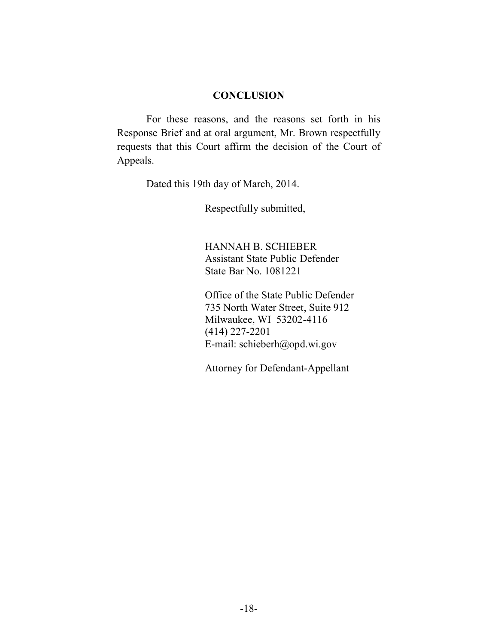#### **CONCLUSION**

For these reasons, and the reasons set forth in his Response Brief and at oral argument, Mr. Brown respectfully requests that this Court affirm the decision of the Court of Appeals.

Dated this 19th day of March, 2014.

Respectfully submitted,

HANNAH B. SCHIEBER Assistant State Public Defender State Bar No. 1081221

Office of the State Public Defender 735 North Water Street, Suite 912 Milwaukee, WI 53202-4116 (414) 227-2201 E-mail: schieberh@opd.wi.gov

Attorney for Defendant-Appellant